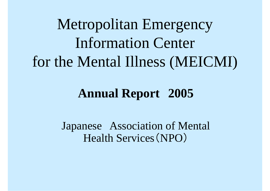Metropolitan E tropolitan Emergency Information Center for the Mental Illness (MEICMI)

### **Annual Report 2005**

Japanese Association of Mental Health Services (NPO )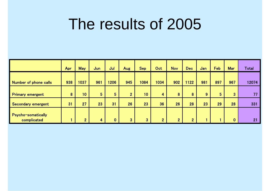# The results of 2005

|                                          | Apr | <b>May</b>     | Jun            | Jul            | Aug            | <b>Sep</b>   | Oct            | <b>Nov</b>     | <b>Dec</b>     | Jan | Feb            | <b>Mar</b>     | Total |
|------------------------------------------|-----|----------------|----------------|----------------|----------------|--------------|----------------|----------------|----------------|-----|----------------|----------------|-------|
| Number of phone calls                    | 938 | 1037           | 961            | 1206           | 945            | 1084         | 1034           | 902            | 1122           | 981 | 897            | 967            | 12074 |
| <b>Primary emergent</b>                  | 8   | 10             | 5 <sup>5</sup> | $5\phantom{.}$ | 2 <sup>1</sup> | 10           | 4              | 8              | 8              | 9   | 5 <sup>1</sup> | 3 <sup>1</sup> | 77    |
| Secondary emergent                       | 31  | 27             | 23             | 31             | 26             | 23           | 36             | 26             | 28             | 23  | 29             | 28             | 331   |
| <b>Psycho-somatically</b><br>complicated |     | $\overline{2}$ | 4              | $\mathbf{0}$   | 3 <sup>°</sup> | $\mathbf{3}$ | $\overline{2}$ | $\overline{2}$ | $\overline{2}$ |     |                | 0              | 21    |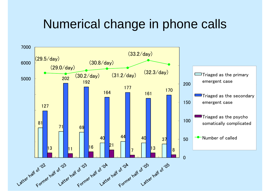## Numerical change in phone calls

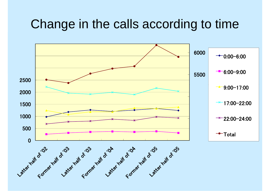### Change in the calls according to time

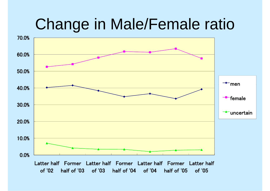# Change in Male/Female ratio

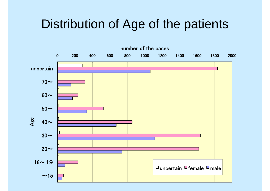## Distribution of Age of the patients

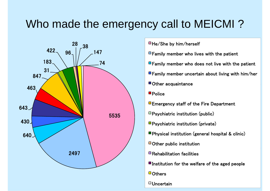### Who made the emergency call to MEICMI?



- $\Box$  Family member who lives with the patient
- $\blacksquare$  Family member who does not live with the patient
- $\blacksquare$  Family member uncertain about living with him/her
- Other acquaintance Other
- **Police**
- 
- Psychiatric institution (public)
- Psychiatric institution (private)
- **Physical institution (general hospital & clinic)**
- $\blacksquare$  Other public institution
- $\blacksquare$  Rehabilitation facilities
- $\blacksquare$  Institution for the welfare of the aged people
- $\Box$  Others
- $\Box$ Uncertain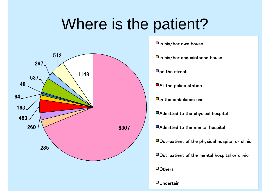# Where is the patient?



iin his/her own house

 $\blacksquare$ in his/her acquaintance house

 $\Box$  on the street

 $\Box$  In the ambulance car

■ Admitted to the physical hospital

■ Admitted to the mental hospital

 $\Box$  Out-patient of the physical hospital or clinic

 $\Box$  Out-patient of the mental hospital or clinic

 $\Box$  Others

 $\Box$  Uncertain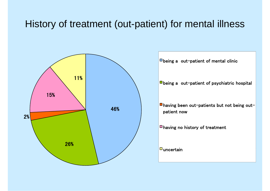#### History of treatment (out-patient) for mental illness





- being a out-patient of psychiatric hospital
- having been out -patients but not being out having been out-patients but not being<br>patient now
- having no history of treatment<br>uncertain

 $\Box$ uncertain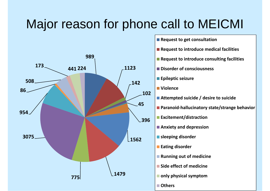## Major reason for phone call to MEICMI

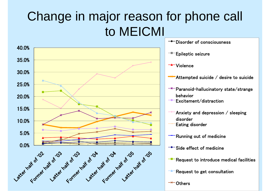## Change in major reason for phone call to MEICMI

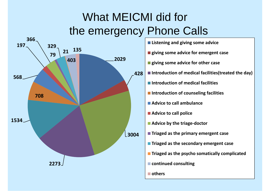## What MEICMI did fo rthe emergency Phone Calls

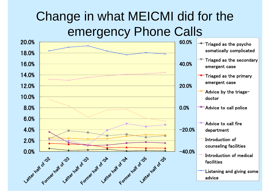## Change in what MEICMI did for the emergency Phone Calls

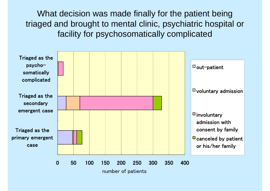What decision was made finally for the patient being triaged and brought to mental clinic, psychiatric hospital or facility for psychosomatically complicated

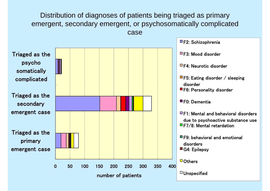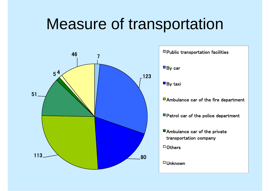# Measure of transportation



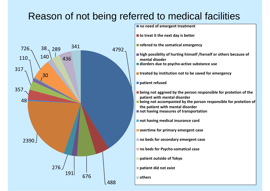#### Reason of not being referred to medical facilities



**no need of emergent treatment**

**to treat it the next day is better**

**refered to the somatical emergency**

- **high possiblity of hurting himself /herself or others because of mental disoder**
- **diorders due to psycho active substance use ‐**

**treated by institution not to be saved for emergency**

**patient refused p**

- **being not aggreed by the person responsible for protetion of the patient with mental disorder**
- **being not accompanied by the person responsible for protetion of the pati <sup>t</sup> en with ment l <sup>a</sup> di d sor er**
- **not having measures of transportation**

**not having medical insurance card**

**overtime for primary emergent case**

**no beds for secondary emergent case**

**b d f P h ti l no beds for Psycho‐somatical case**

**patient outside of Tokyo**

**patient did not exist p**

**others**